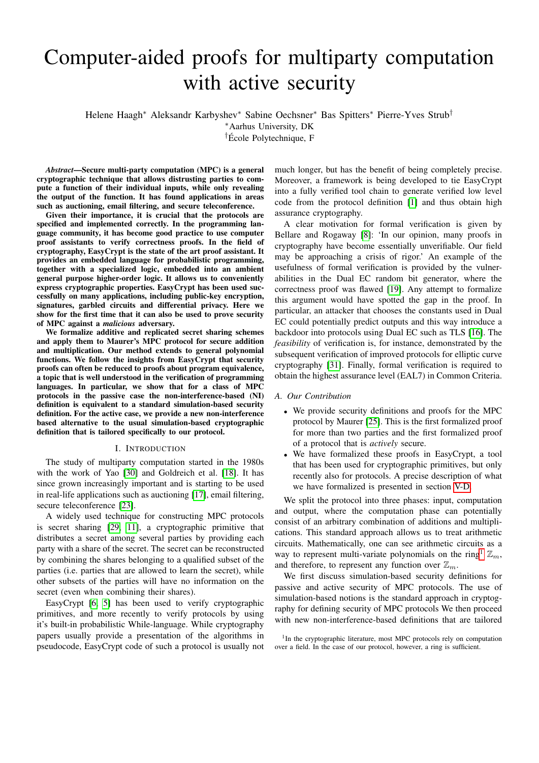# Computer-aided proofs for multiparty computation with active security

Helene Haagh<sup>∗</sup> Aleksandr Karbyshev<sup>∗</sup> Sabine Oechsner<sup>∗</sup> Bas Spitters<sup>∗</sup> Pierre-Yves Strub†

<sup>∗</sup>Aarhus University, DK

<sup>†</sup>École Polytechnique, F

*Abstract*—Secure multi-party computation (MPC) is a general cryptographic technique that allows distrusting parties to compute a function of their individual inputs, while only revealing the output of the function. It has found applications in areas such as auctioning, email filtering, and secure teleconference.

Given their importance, it is crucial that the protocols are specified and implemented correctly. In the programming language community, it has become good practice to use computer proof assistants to verify correctness proofs. In the field of cryptography, EasyCrypt is the state of the art proof assistant. It provides an embedded language for probabilistic programming, together with a specialized logic, embedded into an ambient general purpose higher-order logic. It allows us to conveniently express cryptographic properties. EasyCrypt has been used successfully on many applications, including public-key encryption, signatures, garbled circuits and differential privacy. Here we show for the first time that it can also be used to prove security of MPC against a *malicious* adversary.

We formalize additive and replicated secret sharing schemes and apply them to Maurer's MPC protocol for secure addition and multiplication. Our method extends to general polynomial functions. We follow the insights from EasyCrypt that security proofs can often be reduced to proofs about program equivalence, a topic that is well understood in the verification of programming languages. In particular, we show that for a class of MPC protocols in the passive case the non-interference-based (NI) definition is equivalent to a standard simulation-based security definition. For the active case, we provide a new non-interference based alternative to the usual simulation-based cryptographic definition that is tailored specifically to our protocol.

#### I. INTRODUCTION

The study of multiparty computation started in the 1980s with the work of Yao [\[30\]](#page-12-0) and Goldreich et al. [\[18\]](#page-12-1). It has since grown increasingly important and is starting to be used in real-life applications such as auctioning [\[17\]](#page-12-2), email filtering, secure teleconference [\[23\]](#page-12-3).

A widely used technique for constructing MPC protocols is secret sharing [\[29,](#page-12-4) [11\]](#page-12-5), a cryptographic primitive that distributes a secret among several parties by providing each party with a share of the secret. The secret can be reconstructed by combining the shares belonging to a qualified subset of the parties (i.e. parties that are allowed to learn the secret), while other subsets of the parties will have no information on the secret (even when combining their shares).

EasyCrypt [\[6,](#page-12-6) [5\]](#page-12-7) has been used to verify cryptographic primitives, and more recently to verify protocols by using it's built-in probabilistic While-language. While cryptography papers usually provide a presentation of the algorithms in pseudocode, EasyCrypt code of such a protocol is usually not

much longer, but has the benefit of being completely precise. Moreover, a framework is being developed to tie EasyCrypt into a fully verified tool chain to generate verified low level code from the protocol definition [\[1\]](#page-12-8) and thus obtain high assurance cryptography.

A clear motivation for formal verification is given by Bellare and Rogaway [\[8\]](#page-12-9): 'In our opinion, many proofs in cryptography have become essentially unverifiable. Our field may be approaching a crisis of rigor.' An example of the usefulness of formal verification is provided by the vulnerabilities in the Dual EC random bit generator, where the correctness proof was flawed [\[19\]](#page-12-10). Any attempt to formalize this argument would have spotted the gap in the proof. In particular, an attacker that chooses the constants used in Dual EC could potentially predict outputs and this way introduce a backdoor into protocols using Dual EC such as TLS [\[16\]](#page-12-11). The *feasibility* of verification is, for instance, demonstrated by the subsequent verification of improved protocols for elliptic curve cryptography [\[31\]](#page-12-12). Finally, formal verification is required to obtain the highest assurance level (EAL7) in Common Criteria.

#### *A. Our Contribution*

- We provide security definitions and proofs for the MPC protocol by Maurer [\[25\]](#page-12-13). This is the first formalized proof for more than two parties and the first formalized proof of a protocol that is *actively* secure.
- We have formalized these proofs in EasyCrypt, a tool that has been used for cryptographic primitives, but only recently also for protocols. A precise description of what we have formalized is presented in section [V-D.](#page-10-0)

We split the protocol into three phases: input, computation and output, where the computation phase can potentially consist of an arbitrary combination of additions and multiplications. This standard approach allows us to treat arithmetic circuits. Mathematically, one can see arithmetic circuits as a way to represent multi-variate polynomials on the ring<sup>[1](#page-0-0)</sup>  $\mathbb{Z}_m$ , and therefore, to represent any function over  $\mathbb{Z}_m$ .

We first discuss simulation-based security definitions for passive and active security of MPC protocols. The use of simulation-based notions is the standard approach in cryptography for defining security of MPC protocols We then proceed with new non-interference-based definitions that are tailored

<span id="page-0-0"></span><sup>1</sup>In the cryptographic literature, most MPC protocols rely on computation over a field. In the case of our protocol, however, a ring is sufficient.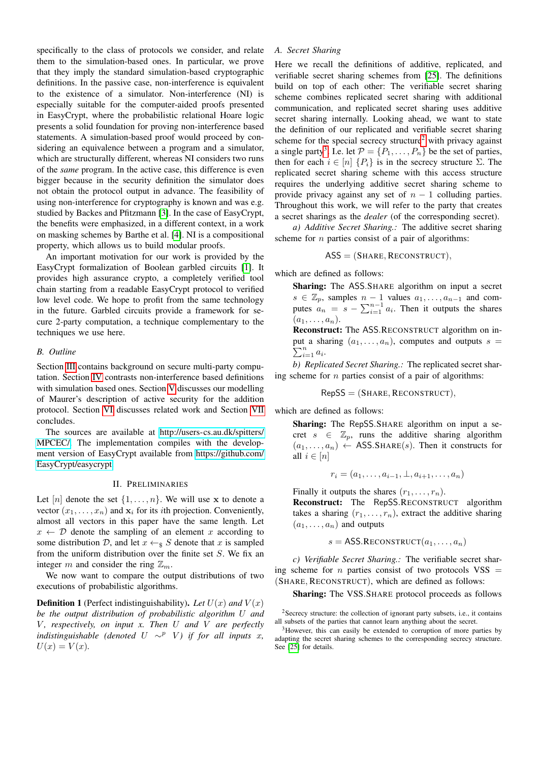specifically to the class of protocols we consider, and relate them to the simulation-based ones. In particular, we prove that they imply the standard simulation-based cryptographic definitions. In the passive case, non-interference is equivalent to the existence of a simulator. Non-interference (NI) is especially suitable for the computer-aided proofs presented in EasyCrypt, where the probabilistic relational Hoare logic presents a solid foundation for proving non-interference based statements. A simulation-based proof would proceed by considering an equivalence between a program and a simulator, which are structurally different, whereas NI considers two runs of the *same* program. In the active case, this difference is even bigger because in the security definition the simulator does not obtain the protocol output in advance. The feasibility of using non-interference for cryptography is known and was e.g. studied by Backes and Pfitzmann [\[3\]](#page-12-14). In the case of EasyCrypt, the benefits were emphasized, in a different context, in a work on masking schemes by Barthe et al. [\[4\]](#page-12-15). NI is a compositional property, which allows us to build modular proofs.

An important motivation for our work is provided by the EasyCrypt formalization of Boolean garbled circuits [\[1\]](#page-12-8). It provides high assurance crypto, a completely verified tool chain starting from a readable EasyCrypt protocol to verified low level code. We hope to profit from the same technology in the future. Garbled circuits provide a framework for secure 2-party computation, a technique complementary to the techniques we use here.

## *B. Outline*

Section [III](#page-2-0) contains background on secure multi-party computation. Section [IV](#page-5-0) contrasts non-interference based definitions with simulation based ones. Section [V](#page-7-0) discusses our modelling of Maurer's description of active security for the addition protocol. Section [VI](#page-10-1) discusses related work and Section [VII](#page-11-0) concludes.

The sources are available at [http://users-cs.au.dk/spitters/](http://users-cs.au.dk/spitters/MPCEC/) [MPCEC/.](http://users-cs.au.dk/spitters/MPCEC/) The implementation compiles with the development version of EasyCrypt available from [https://github.com/](https://github.com/EasyCrypt/easycrypt) [EasyCrypt/easycrypt.](https://github.com/EasyCrypt/easycrypt)

#### II. PRELIMINARIES

Let  $[n]$  denote the set  $\{1, \ldots, n\}$ . We will use x to denote a vector  $(x_1, \ldots, x_n)$  and  $\mathbf{x}_i$  for its *i*th projection. Conveniently, almost all vectors in this paper have the same length. Let  $x \leftarrow \mathcal{D}$  denote the sampling of an element x according to some distribution D, and let  $x \leftarrow s S$  denote that x is sampled from the uniform distribution over the finite set  $S$ . We fix an integer m and consider the ring  $\mathbb{Z}_m$ .

We now want to compare the output distributions of two executions of probabilistic algorithms.

**Definition 1** (Perfect indistinguishability). Let  $U(x)$  and  $V(x)$ *be the output distribution of probabilistic algorithm* U *and* V *, respectively, on input x. Then* U *and* V *are perfectly indistinguishable (denoted*  $U \sim^p V$ *) if for all inputs x,*  $U(x) = V(x)$ .

#### <span id="page-1-2"></span>*A. Secret Sharing*

Here we recall the definitions of additive, replicated, and verifiable secret sharing schemes from [\[25\]](#page-12-13). The definitions build on top of each other: The verifiable secret sharing scheme combines replicated secret sharing with additional communication, and replicated secret sharing uses additive secret sharing internally. Looking ahead, we want to state the definition of our replicated and verifiable secret sharing scheme for the special secrecy structure<sup>[2](#page-1-0)</sup> with privacy against a single party<sup>[3](#page-1-1)</sup>. I.e. let  $P = \{P_1, \ldots, P_n\}$  be the set of parties, then for each  $i \in [n]$  { $P_i$ } is in the secrecy structure  $\Sigma$ . The replicated secret sharing scheme with this access structure requires the underlying additive secret sharing scheme to provide privacy against any set of  $n - 1$  colluding parties. Throughout this work, we will refer to the party that creates a secret sharings as the *dealer* (of the corresponding secret).

*a) Additive Secret Sharing.:* The additive secret sharing scheme for  $n$  parties consist of a pair of algorithms:

$$
ASS = (SHARE, RECONSTRUCT),
$$

which are defined as follows:

Sharing: The ASS.SHARE algorithm on input a secret  $s \in \mathbb{Z}_p$ , samples  $n-1$  values  $a_1, \ldots, a_{n-1}$  and computes  $a_n = s - \sum_{i=1}^{n-1} a_i$ . Then it outputs the shares  $(a_1, \ldots, a_n).$ 

Reconstruct: The ASS.RECONSTRUCT algorithm on in- $\sum_{i=1}^n a_i$ . put a sharing  $(a_1, \ldots, a_n)$ , computes and outputs  $s =$ 

*b) Replicated Secret Sharing.:* The replicated secret sharing scheme for  $n$  parties consist of a pair of algorithms:

$$
RepSS = (SHARE, RECONSTRUCT),
$$

which are defined as follows:

Sharing: The RepSS.SHARE algorithm on input a secret  $s \in \mathbb{Z}_p$ , runs the additive sharing algorithm  $(a_1, \ldots, a_n) \leftarrow$  ASS.SHARE $(s)$ . Then it constructs for all  $i \in [n]$ 

$$
r_i = (a_1, \ldots, a_{i-1}, \perp, a_{i+1}, \ldots, a_n)
$$

Finally it outputs the shares  $(r_1, \ldots, r_n)$ .

Reconstruct: The RepSS.RECONSTRUCT algorithm takes a sharing  $(r_1, \ldots, r_n)$ , extract the additive sharing  $(a_1, \ldots, a_n)$  and outputs

$$
s = \text{ASS}.\text{RECONSTRUCT}(a_1, \ldots, a_n)
$$

*c) Verifiable Secret Sharing.:* The verifiable secret sharing scheme for *n* parties consist of two protocols  $VSS =$ (SHARE, RECONSTRUCT), which are defined as follows:

Sharing: The VSS.SHARE protocol proceeds as follows

<span id="page-1-0"></span><sup>2</sup>Secrecy structure: the collection of ignorant party subsets, i.e., it contains all subsets of the parties that cannot learn anything about the secret.

<span id="page-1-1"></span><sup>&</sup>lt;sup>3</sup>However, this can easily be extended to corruption of more parties by adapting the secret sharing schemes to the corresponding secrecy structure. See [\[25\]](#page-12-13) for details.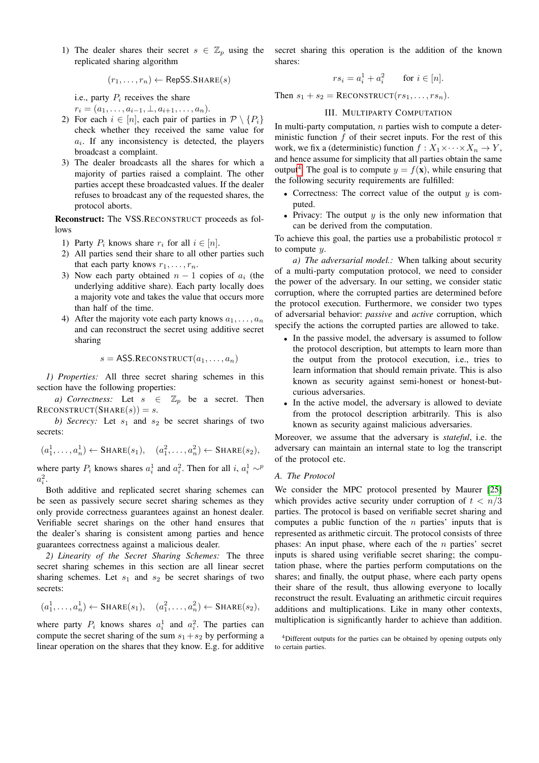1) The dealer shares their secret  $s \in \mathbb{Z}_p$  using the replicated sharing algorithm

$$
(r_1,\ldots,r_n) \leftarrow \mathsf{RepSS}.\mathsf{SHARE}(s)
$$

i.e., party  $P_i$  receives the share

 $r_i = (a_1, \ldots, a_{i-1}, \perp, a_{i+1}, \ldots, a_n).$ 

- 2) For each  $i \in [n]$ , each pair of parties in  $\mathcal{P} \setminus \{P_i\}$ check whether they received the same value for  $a_i$ . If any inconsistency is detected, the players broadcast a complaint.
- 3) The dealer broadcasts all the shares for which a majority of parties raised a complaint. The other parties accept these broadcasted values. If the dealer refuses to broadcast any of the requested shares, the protocol aborts.

Reconstruct: The VSS.RECONSTRUCT proceeds as follows

- 1) Party  $P_i$  knows share  $r_i$  for all  $i \in [n]$ .
- 2) All parties send their share to all other parties such that each party knows  $r_1, \ldots, r_n$ .
- 3) Now each party obtained  $n 1$  copies of  $a_i$  (the underlying additive share). Each party locally does a majority vote and takes the value that occurs more than half of the time.
- 4) After the majority vote each party knows  $a_1, \ldots, a_n$ and can reconstruct the secret using additive secret sharing

 $s =$  ASS.RECONSTRUCT $(a_1, \ldots, a_n)$ 

*1) Properties:* All three secret sharing schemes in this section have the following properties:

*a)* Correctness: Let  $s \in \mathbb{Z}_p$  be a secret. Then  $RECONSTRUCT(SHARE(s)) = s.$ 

*b)* Secrecy: Let  $s_1$  and  $s_2$  be secret sharings of two secrets:

$$
(a_1^1, \ldots, a_n^1) \leftarrow \text{SHARE}(s_1), \quad (a_1^2, \ldots, a_n^2) \leftarrow \text{SHARE}(s_2),
$$

where party  $P_i$  knows shares  $a_i^1$  and  $a_i^2$ . Then for all  $i$ ,  $a_i^1 \sim^p$  $a_i^2$ .

Both additive and replicated secret sharing schemes can be seen as passively secure secret sharing schemes as they only provide correctness guarantees against an honest dealer. Verifiable secret sharings on the other hand ensures that the dealer's sharing is consistent among parties and hence guarantees correctness against a malicious dealer.

*2) Linearity of the Secret Sharing Schemes:* The three secret sharing schemes in this section are all linear secret sharing schemes. Let  $s_1$  and  $s_2$  be secret sharings of two secrets:

$$
(a_1^1, \ldots, a_n^1) \leftarrow \text{SHARE}(s_1), \quad (a_1^2, \ldots, a_n^2) \leftarrow \text{SHARE}(s_2),
$$

where party  $P_i$  knows shares  $a_i^1$  and  $a_i^2$ . The parties can compute the secret sharing of the sum  $s_1 + s_2$  by performing a linear operation on the shares that they know. E.g. for additive

secret sharing this operation is the addition of the known shares:

$$
rs_i = a_i^1 + a_i^2 \qquad \text{for } i \in [n].
$$

Then  $s_1 + s_2 = \text{RECONSTRUCT}(rs_1, \ldots, rs_n)$ .

#### III. MULTIPARTY COMPUTATION

<span id="page-2-0"></span>In multi-party computation,  $n$  parties wish to compute a deterministic function  $f$  of their secret inputs. For the rest of this work, we fix a (deterministic) function  $f: X_1 \times \cdots \times X_n \to Y$ , and hence assume for simplicity that all parties obtain the same output<sup>[4](#page-2-1)</sup>. The goal is to compute  $y = f(\mathbf{x})$ , while ensuring that the following security requirements are fulfilled:

- Correctness: The correct value of the output  $y$  is computed.
- Privacy: The output  $y$  is the only new information that can be derived from the computation.

To achieve this goal, the parties use a probabilistic protocol  $\pi$ to compute  $u$ .

*a) The adversarial model.:* When talking about security of a multi-party computation protocol, we need to consider the power of the adversary. In our setting, we consider static corruption, where the corrupted parties are determined before the protocol execution. Furthermore, we consider two types of adversarial behavior: *passive* and *active* corruption, which specify the actions the corrupted parties are allowed to take.

- In the passive model, the adversary is assumed to follow the protocol description, but attempts to learn more than the output from the protocol execution, i.e., tries to learn information that should remain private. This is also known as security against semi-honest or honest-butcurious adversaries.
- In the active model, the adversary is allowed to deviate from the protocol description arbitrarily. This is also known as security against malicious adversaries.

Moreover, we assume that the adversary is *stateful*, i.e. the adversary can maintain an internal state to log the transcript of the protocol etc.

#### *A. The Protocol*

We consider the MPC protocol presented by Maurer [\[25\]](#page-12-13) which provides active security under corruption of  $t < n/3$ parties. The protocol is based on verifiable secret sharing and computes a public function of the  $n$  parties' inputs that is represented as arithmetic circuit. The protocol consists of three phases: An input phase, where each of the  $n$  parties' secret inputs is shared using verifiable secret sharing; the computation phase, where the parties perform computations on the shares; and finally, the output phase, where each party opens their share of the result, thus allowing everyone to locally reconstruct the result. Evaluating an arithmetic circuit requires additions and multiplications. Like in many other contexts, multiplication is significantly harder to achieve than addition.

<span id="page-2-1"></span><sup>4</sup>Different outputs for the parties can be obtained by opening outputs only to certain parties.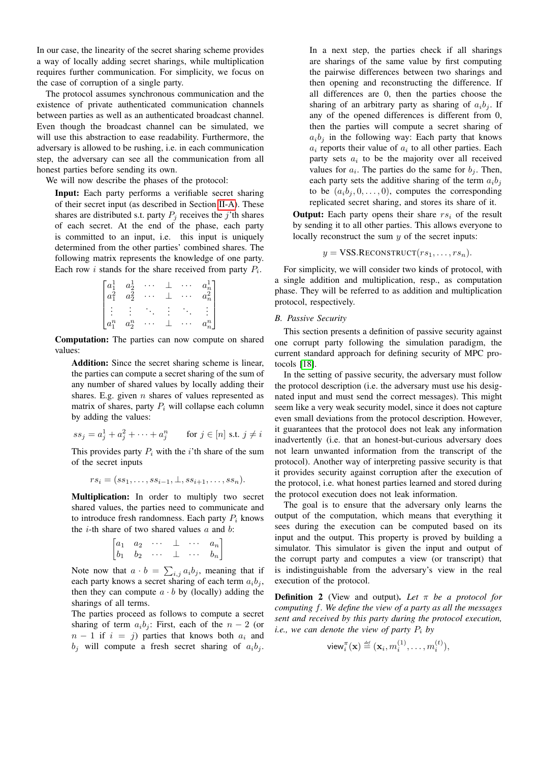In our case, the linearity of the secret sharing scheme provides a way of locally adding secret sharings, while multiplication requires further communication. For simplicity, we focus on the case of corruption of a single party.

The protocol assumes synchronous communication and the existence of private authenticated communication channels between parties as well as an authenticated broadcast channel. Even though the broadcast channel can be simulated, we will use this abstraction to ease readability. Furthermore, the adversary is allowed to be rushing, i.e. in each communication step, the adversary can see all the communication from all honest parties before sending its own.

We will now describe the phases of the protocol:

Input: Each party performs a verifiable secret sharing of their secret input (as described in Section [II-A\)](#page-1-2). These shares are distributed s.t. party  $P_i$  receives the j'th shares of each secret. At the end of the phase, each party is committed to an input, i.e. this input is uniquely determined from the other parties' combined shares. The following matrix represents the knowledge of one party. Each row *i* stands for the share received from party  $P_i$ .

$$
\begin{bmatrix} a_1^1 & a_2^1 & \cdots & \perp & \cdots & a_n^1 \\ a_1^2 & a_2^2 & \cdots & \perp & \cdots & a_n^2 \\ \vdots & \vdots & \ddots & \vdots & \ddots & \vdots \\ a_1^n & a_2^n & \cdots & \perp & \cdots & a_n^n \end{bmatrix}
$$

Computation: The parties can now compute on shared values:

Addition: Since the secret sharing scheme is linear, the parties can compute a secret sharing of the sum of any number of shared values by locally adding their shares. E.g. given  $n$  shares of values represented as matrix of shares, party  $P_i$  will collapse each column by adding the values:

$$
ss_j = a_j^1 + a_j^2 + \dots + a_j^n \qquad \text{for } j \in [n] \text{ s.t. } j \neq i
$$

This provides party  $P_i$  with the *i*'th share of the sum of the secret inputs

$$
rs_i = (ss_1, \ldots, ss_{i-1}, \perp, ss_{i+1}, \ldots, ss_n).
$$

Multiplication: In order to multiply two secret shared values, the parties need to communicate and to introduce fresh randomness. Each party  $P_i$  knows the  $i$ -th share of two shared values  $a$  and  $b$ :

$$
\begin{bmatrix} a_1 & a_2 & \cdots & \perp & \cdots & a_n \\ b_1 & b_2 & \cdots & \perp & \cdots & b_n \end{bmatrix}
$$

Note now that  $a \cdot b = \sum_{i,j} a_i b_j$ , meaning that if each party knows a secret sharing of each term  $a_i b_j$ , then they can compute  $a \cdot b$  by (locally) adding the sharings of all terms.

The parties proceed as follows to compute a secret sharing of term  $a_i b_j$ : First, each of the  $n-2$  (or  $n - 1$  if  $i = j$ ) parties that knows both  $a_i$  and  $b_j$  will compute a fresh secret sharing of  $a_i b_j$ .

In a next step, the parties check if all sharings are sharings of the same value by first computing the pairwise differences between two sharings and then opening and reconstructing the difference. If all differences are 0, then the parties choose the sharing of an arbitrary party as sharing of  $a_i b_i$ . If any of the opened differences is different from 0, then the parties will compute a secret sharing of  $a_i b_j$  in the following way: Each party that knows  $a_i$  reports their value of  $a_i$  to all other parties. Each party sets  $a_i$  to be the majority over all received values for  $a_i$ . The parties do the same for  $b_j$ . Then, each party sets the additive sharing of the term  $a_i b_i$ to be  $(a_i b_j, 0, \ldots, 0)$ , computes the corresponding replicated secret sharing, and stores its share of it.

**Output:** Each party opens their share  $rs_i$  of the result by sending it to all other parties. This allows everyone to locally reconstruct the sum  $y$  of the secret inputs:

$$
y = VSS. RECONSTRUCT(rs_1, \ldots, rs_n).
$$

For simplicity, we will consider two kinds of protocol, with a single addition and multiplication, resp., as computation phase. They will be referred to as addition and multiplication protocol, respectively.

#### *B. Passive Security*

This section presents a definition of passive security against one corrupt party following the simulation paradigm, the current standard approach for defining security of MPC protocols [\[18\]](#page-12-1).

In the setting of passive security, the adversary must follow the protocol description (i.e. the adversary must use his designated input and must send the correct messages). This might seem like a very weak security model, since it does not capture even small deviations from the protocol description. However, it guarantees that the protocol does not leak any information inadvertently (i.e. that an honest-but-curious adversary does not learn unwanted information from the transcript of the protocol). Another way of interpreting passive security is that it provides security against corruption after the execution of the protocol, i.e. what honest parties learned and stored during the protocol execution does not leak information.

The goal is to ensure that the adversary only learns the output of the computation, which means that everything it sees during the execution can be computed based on its input and the output. This property is proved by building a simulator. This simulator is given the input and output of the corrupt party and computes a view (or transcript) that is indistinguishable from the adversary's view in the real execution of the protocol.

Definition 2 (View and output). *Let* π *be a protocol for computing* f*. We define the view of a party as all the messages sent and received by this party during the protocol execution, i.e., we can denote the view of party*  $P_i$  *by* 

$$
\mathsf{view}_i^\pi(\mathbf{x}) \stackrel{\text{\tiny def}}{=} (\mathbf{x}_i, m_i^{(1)}, \dots, m_i^{(t)}),
$$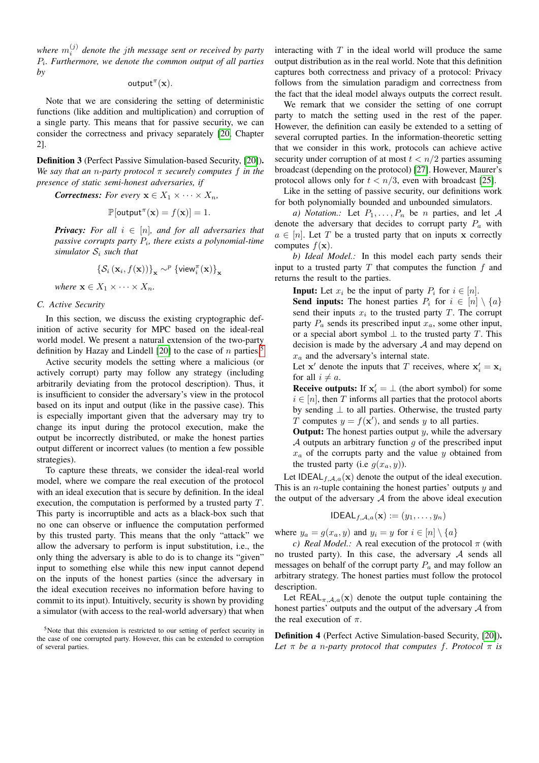where  $m_i^{(j)}$  denote the *jth message sent or received by party* Pi *. Furthermore, we denote the common output of all parties by*

# output<sup> $\pi$ </sup>(**x**).

Note that we are considering the setting of deterministic functions (like addition and multiplication) and corruption of a single party. This means that for passive security, we can consider the correctness and privacy separately [\[20,](#page-12-16) Chapter 2].

Definition 3 (Perfect Passive Simulation-based Security, [\[20\]](#page-12-16)). *We say that an* n*-party protocol* π *securely computes* f *in the presence of static semi-honest adversaries, if*

*Correctness: For every*  $\mathbf{x} \in X_1 \times \cdots \times X_n$ ,

$$
\mathbb{P}[\text{output}^{\pi}(\mathbf{x}) = f(\mathbf{x})] = 1.
$$

*Privacy:* For all  $i \in [n]$ , and for all adversaries that *passive corrupts party* P<sup>i</sup> *, there exists a polynomial-time simulator*  $S_i$  *such that* 

$$
\left\{\mathcal{S}_{i}\left(\mathbf{x}_{i},f(\mathbf{x})\right)\right\}_{\mathbf{x}}\sim^{p}\left\{\text{view}_{i}^{\pi}(\mathbf{x})\right\}_{\mathbf{x}}
$$

where 
$$
\mathbf{x} \in X_1 \times \cdots \times X_n
$$
.

#### <span id="page-4-2"></span>*C. Active Security*

In this section, we discuss the existing cryptographic definition of active security for MPC based on the ideal-real world model. We present a natural extension of the two-party definition by Hazay and Lindell [\[20\]](#page-12-16) to the case of n parties.<sup>[5](#page-4-0)</sup>

Active security models the setting where a malicious (or actively corrupt) party may follow any strategy (including arbitrarily deviating from the protocol description). Thus, it is insufficient to consider the adversary's view in the protocol based on its input and output (like in the passive case). This is especially important given that the adversary may try to change its input during the protocol execution, make the output be incorrectly distributed, or make the honest parties output different or incorrect values (to mention a few possible strategies).

To capture these threats, we consider the ideal-real world model, where we compare the real execution of the protocol with an ideal execution that is secure by definition. In the ideal execution, the computation is performed by a trusted party T. This party is incorruptible and acts as a black-box such that no one can observe or influence the computation performed by this trusted party. This means that the only "attack" we allow the adversary to perform is input substitution, i.e., the only thing the adversary is able to do is to change its "given" input to something else while this new input cannot depend on the inputs of the honest parties (since the adversary in the ideal execution receives no information before having to commit to its input). Intuitively, security is shown by providing a simulator (with access to the real-world adversary) that when interacting with  $T$  in the ideal world will produce the same output distribution as in the real world. Note that this definition captures both correctness and privacy of a protocol: Privacy follows from the simulation paradigm and correctness from the fact that the ideal model always outputs the correct result.

We remark that we consider the setting of one corrupt party to match the setting used in the rest of the paper. However, the definition can easily be extended to a setting of several corrupted parties. In the information-theoretic setting that we consider in this work, protocols can achieve active security under corruption of at most  $t < n/2$  parties assuming broadcast (depending on the protocol) [\[27\]](#page-12-17). However, Maurer's protocol allows only for  $t < n/3$ , even with broadcast [\[25\]](#page-12-13).

Like in the setting of passive security, our definitions work for both polynomially bounded and unbounded simulators.

*a) Notation.:* Let  $P_1, \ldots, P_n$  be *n* parties, and let A denote the adversary that decides to corrupt party  $P_a$  with  $a \in [n]$ . Let T be a trusted party that on inputs x correctly computes  $f(\mathbf{x})$ .

*b) Ideal Model.:* In this model each party sends their input to a trusted party  $T$  that computes the function  $f$  and returns the result to the parties.

**Input:** Let  $x_i$  be the input of party  $P_i$  for  $i \in [n]$ .

**Send inputs:** The honest parties  $P_i$  for  $i \in [n] \setminus \{a\}$ send their inputs  $x_i$  to the trusted party T. The corrupt party  $P_a$  sends its prescribed input  $x_a$ , some other input, or a special abort symbol  $\perp$  to the trusted party T. This decision is made by the adversary  $A$  and may depend on  $x_a$  and the adversary's internal state.

Let  $x'$  denote the inputs that T receives, where  $x'_i = x_i$ for all  $i \neq a$ .

**Receive outputs:** If  $x'_i = \perp$  (the abort symbol) for some  $i \in [n]$ , then T informs all parties that the protocol aborts by sending ⊥ to all parties. Otherwise, the trusted party T computes  $y = f(\mathbf{x}')$ , and sends y to all parties.

**Output:** The honest parties output  $y$ , while the adversary  $\mathcal A$  outputs an arbitrary function  $g$  of the prescribed input  $x_a$  of the corrupts party and the value y obtained from the trusted party (i.e  $g(x_a, y)$ ).

Let IDEAL $_{f,A,a}(\mathbf{x})$  denote the output of the ideal execution. This is an *n*-tuple containing the honest parties' outputs  $y$  and the output of the adversary  $A$  from the above ideal execution

$$
\mathsf{IDEAL}_{f,A,a}(\mathbf{x}) := (y_1,\ldots,y_n)
$$

where  $y_a = g(x_a, y)$  and  $y_i = y$  for  $i \in [n] \setminus \{a\}$ 

*c)* Real Model.: A real execution of the protocol  $\pi$  (with no trusted party). In this case, the adversary  $A$  sends all messages on behalf of the corrupt party  $P_a$  and may follow an arbitrary strategy. The honest parties must follow the protocol description.

Let REAL $_{\pi,A,a}(\mathbf{x})$  denote the output tuple containing the honest parties' outputs and the output of the adversary  $A$  from the real execution of  $\pi$ .

<span id="page-4-1"></span>Definition 4 (Perfect Active Simulation-based Security, [\[20\]](#page-12-16)). *Let*  $\pi$  *be a n*-party protocol that computes f. Protocol  $\pi$  *is* 

<span id="page-4-0"></span><sup>5</sup>Note that this extension is restricted to our setting of perfect security in the case of one corrupted party. However, this can be extended to corruption of several parties.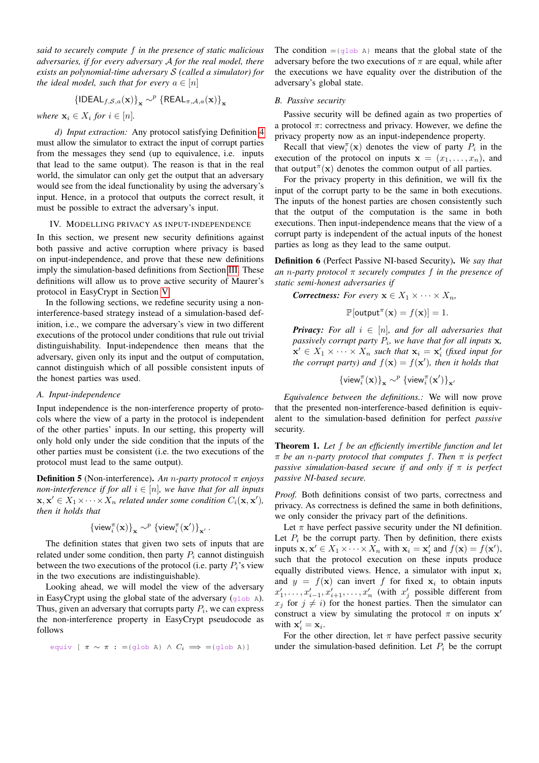*said to securely compute* f *in the presence of static malicious adversaries, if for every adversary* A *for the real model, there exists an polynomial-time adversary* S *(called a simulator) for the ideal model, such that for every*  $a \in [n]$ 

$$
\left\{\mathsf{IDEAL}_{f,\mathcal{S},a}(\mathbf{x})\right\}_\mathbf{x} \sim^p \left\{\mathsf{REAL}_{\pi,\mathcal{A},a}(\mathbf{x})\right\}_\mathbf{x}
$$

*where*  $\mathbf{x}_i \in X_i$  *for*  $i \in [n]$ *.* 

*d) Input extraction:* Any protocol satisfying Definition [4](#page-4-1) must allow the simulator to extract the input of corrupt parties from the messages they send (up to equivalence, i.e. inputs that lead to the same output). The reason is that in the real world, the simulator can only get the output that an adversary would see from the ideal functionality by using the adversary's input. Hence, in a protocol that outputs the correct result, it must be possible to extract the adversary's input.

#### <span id="page-5-0"></span>IV. MODELLING PRIVACY AS INPUT-INDEPENDENCE

In this section, we present new security definitions against both passive and active corruption where privacy is based on input-independence, and prove that these new definitions imply the simulation-based definitions from Section [III.](#page-2-0) These definitions will allow us to prove active security of Maurer's protocol in EasyCrypt in Section [V.](#page-7-0)

In the following sections, we redefine security using a noninterference-based strategy instead of a simulation-based definition, i.e., we compare the adversary's view in two different executions of the protocol under conditions that rule out trivial distinguishability. Input-independence then means that the adversary, given only its input and the output of computation, cannot distinguish which of all possible consistent inputs of the honest parties was used.

#### *A. Input-independence*

Input independence is the non-interference property of protocols where the view of a party in the protocol is independent of the other parties' inputs. In our setting, this property will only hold only under the side condition that the inputs of the other parties must be consistent (i.e. the two executions of the protocol must lead to the same output).

Definition 5 (Non-interference). *An* n*-party protocol* π *enjoys non-interference if for all*  $i \in [n]$ *, we have that for all inputs*  $\mathbf{x}, \mathbf{x}' \in X_1 \times \cdots \times X_n$  *related under some condition*  $C_i(\mathbf{x}, \mathbf{x}')$ , *then it holds that*

$$
\left\{\mathsf{view}_i^\pi(\mathbf{x})\right\}_\mathbf{x} \sim^p \left\{\mathsf{view}_i^\pi(\mathbf{x}')\right\}_{\mathbf{x}'}.
$$

The definition states that given two sets of inputs that are related under some condition, then party  $P_i$  cannot distinguish between the two executions of the protocol (i.e. party  $P_i$ 's view in the two executions are indistinguishable).

Looking ahead, we will model the view of the adversary in EasyCrypt using the global state of the adversary  $(q \text{lob } A)$ . Thus, given an adversary that corrupts party  $P_i$ , we can express the non-interference property in EasyCrypt pseudocode as follows

$$
equiv \{ q \mid A \land C_i \implies = \{ q \mid b \land c \} \implies = \{ q \mid b \land A \}
$$

The condition  $=$ {glob A} means that the global state of the adversary before the two executions of  $\pi$  are equal, while after the executions we have equality over the distribution of the adversary's global state.

#### *B. Passive security*

Passive security will be defined again as two properties of a protocol  $\pi$ : correctness and privacy. However, we define the privacy property now as an input-independence property.

Recall that view<sup> $\pi$ </sup>(**x**) denotes the view of party  $P_i$  in the execution of the protocol on inputs  $x = (x_1, \ldots, x_n)$ , and that output<sup> $\pi$ </sup>(x) denotes the common output of all parties.

For the privacy property in this definition, we will fix the input of the corrupt party to be the same in both executions. The inputs of the honest parties are chosen consistently such that the output of the computation is the same in both executions. Then input-independence means that the view of a corrupt party is independent of the actual inputs of the honest parties as long as they lead to the same output.

Definition 6 (Perfect Passive NI-based Security). *We say that an* n*-party protocol* π *securely computes* f *in the presence of static semi-honest adversaries if*

*Correctness: For every*  $\mathbf{x} \in X_1 \times \cdots \times X_n$ ,

$$
\mathbb{P}[\text{output}^{\pi}(\mathbf{x}) = f(\mathbf{x})] = 1.
$$

*Privacy:* For all  $i \in [n]$ , and for all adversaries that *passively corrupt party* P<sup>i</sup> *, we have that for all inputs* x*,*  $\mathbf{x}' \in X_1 \times \cdots \times X_n$  such that  $\mathbf{x}_i = \mathbf{x}'_i$  (fixed input for *the corrupt party) and*  $f(\mathbf{x}) = f(\mathbf{x}')$ *, then it holds that* 

$$
\left\{\mathsf{view}^\pi_i(\mathbf{x})\right\}_\mathbf{x} \sim^p \left\{\mathsf{view}^\pi_i(\mathbf{x}')\right\}_\mathbf{x'}
$$

*Equivalence between the definitions.:* We will now prove that the presented non-interference-based definition is equivalent to the simulation-based definition for perfect *passive* security.

Theorem 1. *Let* f *be an efficiently invertible function and let* π *be an* n*-party protocol that computes* f*. Then* π *is perfect passive simulation-based secure if and only if* π *is perfect passive NI-based secure.*

*Proof.* Both definitions consist of two parts, correctness and privacy. As correctness is defined the same in both definitions, we only consider the privacy part of the definitions.

Let  $\pi$  have perfect passive security under the NI definition. Let  $P_i$  be the corrupt party. Then by definition, there exists inputs  $\mathbf{x}, \mathbf{x}' \in X_1 \times \cdots \times X_n$  with  $\mathbf{x}_i = \mathbf{x}'_i$  and  $f(\mathbf{x}) = f(\mathbf{x}')$ , such that the protocol execution on these inputs produce equally distributed views. Hence, a simulator with input  $x_i$ and  $y = f(x)$  can invert f for fixed  $x_i$  to obtain inputs  $x'_1, \ldots, x'_{i-1}, x'_{i+1}, \ldots, x'_n$  (with  $x'_j$  possible different from  $x_i$  for  $j \neq i$ ) for the honest parties. Then the simulator can construct a view by simulating the protocol  $\pi$  on inputs  $x'$ with  $\mathbf{x}'_i = \mathbf{x}_i$ .

For the other direction, let  $\pi$  have perfect passive security under the simulation-based definition. Let  $P_i$  be the corrupt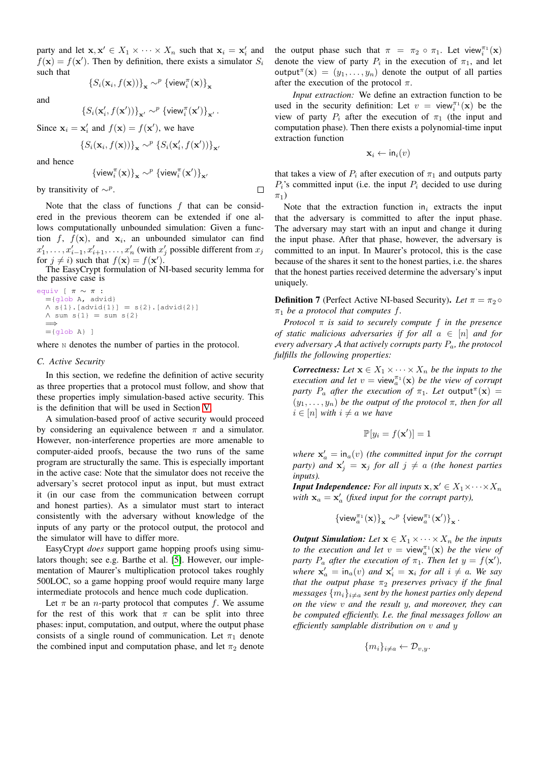party and let  $\mathbf{x}, \mathbf{x}' \in X_1 \times \cdots \times X_n$  such that  $\mathbf{x}_i = \mathbf{x}'_i$  and  $f(\mathbf{x}) = f(\mathbf{x}')$ . Then by definition, there exists a simulator  $S_i$ such that

and

$$
\left\{S_i(\mathbf{x}'_i, f(\mathbf{x}'))\right\}_{\mathbf{x}'} \sim^p \left\{\text{view}_i^{\pi}(\mathbf{x}')\right\}_{\mathbf{x}'}.
$$

 $\{S_i(\mathbf{x}_i, f(\mathbf{x}))\}_{\mathbf{x}} \sim^p \{ \mathsf{view}^{\pi}_i(\mathbf{x}) \}_{\mathbf{x}}$ 

Since  $\mathbf{x}_i = \mathbf{x}'_i$  and  $f(\mathbf{x}) = f(\mathbf{x}')$ , we have

$$
\left\{S_i(\mathbf{x}_i, f(\mathbf{x}))\right\}_\mathbf{x} \sim^p \left\{S_i(\mathbf{x}'_i, f(\mathbf{x}'))\right\}_\mathbf{x'}
$$

and hence

$$
\left\{\mathsf{view}_i^\pi(\mathbf{x})\right\}_\mathbf{x} \sim^p \left\{\mathsf{view}_i^\pi(\mathbf{x}')\right\}_{\mathbf{x}'}
$$

 $\Box$ 

by transitivity of  $\sim^p$ .

Note that the class of functions  $f$  that can be considered in the previous theorem can be extended if one allows computationally unbounded simulation: Given a function f,  $f(\mathbf{x})$ , and  $\mathbf{x}_i$ , an unbounded simulator can find  $x'_1, \ldots, x'_{i-1}, x'_{i+1}, \ldots, x'_n$  (with  $x'_j$  possible different from  $x_j$ for  $j \neq i$ ) such that  $f(\mathbf{x}) = f(\mathbf{x}')$ .

The EasyCrypt formulation of NI-based security lemma for the passive case is

```
equiv [ \pi \sim \pi :
  =(glob A, addvid)\wedge s{1}.[advid{1}] = s{2}.[advid{2}]
  ∧ sum s{1} = sum s{2}
  =⇒
  ={glob A} ]
```
where  $N$  denotes the number of parties in the protocol.

#### <span id="page-6-0"></span>*C. Active Security*

In this section, we redefine the definition of active security as three properties that a protocol must follow, and show that these properties imply simulation-based active security. This is the definition that will be used in Section [V.](#page-7-0)

A simulation-based proof of active security would proceed by considering an equivalence between  $\pi$  and a simulator. However, non-interference properties are more amenable to computer-aided proofs, because the two runs of the same program are structurally the same. This is especially important in the active case: Note that the simulator does not receive the adversary's secret protocol input as input, but must extract it (in our case from the communication between corrupt and honest parties). As a simulator must start to interact consistently with the adversary without knowledge of the inputs of any party or the protocol output, the protocol and the simulator will have to differ more.

EasyCrypt *does* support game hopping proofs using simulators though; see e.g. Barthe et al. [\[5\]](#page-12-7). However, our implementation of Maurer's multiplication protocol takes roughly 500LOC, so a game hopping proof would require many large intermediate protocols and hence much code duplication.

Let  $\pi$  be an *n*-party protocol that computes f. We assume for the rest of this work that  $\pi$  can be split into three phases: input, computation, and output, where the output phase consists of a single round of communication. Let  $\pi_1$  denote the combined input and computation phase, and let  $\pi_2$  denote the output phase such that  $\pi = \pi_2 \circ \pi_1$ . Let view  $\pi_1(\mathbf{x})$ denote the view of party  $P_i$  in the execution of  $\pi_1$ , and let output<sup> $\pi$ </sup>(x) =  $(y_1, \ldots, y_n)$  denote the output of all parties after the execution of the protocol  $\pi$ .

*Input extraction:* We define an extraction function to be used in the security definition: Let  $v = \text{view}_i^{\pi_1}(\mathbf{x})$  be the view of party  $P_i$  after the execution of  $\pi_1$  (the input and computation phase). Then there exists a polynomial-time input extraction function

$$
\mathbf{x}_i \leftarrow \mathsf{in}_i(v)
$$

that takes a view of  $P_i$  after execution of  $\pi_1$  and outputs party  $P_i$ 's committed input (i.e. the input  $P_i$  decided to use during  $\pi_1$ )

Note that the extraction function in<sub>i</sub> extracts the input that the adversary is committed to after the input phase. The adversary may start with an input and change it during the input phase. After that phase, however, the adversary is committed to an input. In Maurer's protocol, this is the case because of the shares it sent to the honest parties, i.e. the shares that the honest parties received determine the adversary's input uniquely.

<span id="page-6-1"></span>**Definition 7** (Perfect Active NI-based Security). Let  $\pi = \pi_2 \circ$  $\pi_1$  *be a protocol that computes f.* 

*Protocol* π *is said to securely compute* f *in the presence of static malicious adversaries if for all*  $a \in [n]$  *and for every adversary* A *that actively corrupts party* Pa*, the protocol fulfills the following properties:*

*Correctness:* Let  $\mathbf{x} \in X_1 \times \cdots \times X_n$  *be the inputs to the execution and let*  $v = \text{view}_a^{\pi_1}(\mathbf{x})$  *be the view of corrupt party*  $P_a$  *after the execution of*  $\pi_1$ *. Let* output<sup> $\pi$ </sup>(**x**) =  $(y_1, \ldots, y_n)$  *be the output of the protocol*  $\pi$ *, then for all*  $i \in [n]$  *with*  $i \neq a$  *we have* 

$$
\mathbb{P}[y_i = f(\mathbf{x}')] = 1
$$

where  $\mathbf{x}'_a = \text{in}_a(v)$  *(the committed input for the corrupt*) *party)* and  $\mathbf{x}'_j = \mathbf{x}_j$  for all  $j \neq a$  (the honest parties *inputs).*

*Input Independence: For all inputs*  $\mathbf{x}, \mathbf{x}' \in X_1 \times \cdots \times X_n$ with  $\mathbf{x}_a = \mathbf{x}'_a$  (fixed input for the corrupt party),

$$
\left\{\mathsf{view}^{\pi_1}_a(\mathbf{x})\right\}_\mathbf{x} \sim^p \left\{\mathsf{view}^{\pi_1}_a(\mathbf{x}')\right\}_\mathbf{x}.
$$

*Output Simulation: Let*  $x \in X_1 \times \cdots \times X_n$  *be the inputs to the execution and let*  $v =$  view $_{a}^{\pi_1}(\mathbf{x})$  *be the view of party*  $P_a$  *after the execution of*  $\pi_1$ *. Then let*  $y = f(\mathbf{x}')$ *,* where  $\mathbf{x}'_a = \text{in}_a(v)$  and  $\mathbf{x}'_i = \mathbf{x}_i$  for all  $i \neq a$ . We say *that the output phase*  $\pi_2$  *preserves privacy if the final messages*  $\{m_i\}_{i\neq a}$  *sent by the honest parties only depend on the view* v *and the result* y*, and moreover, they can be computed efficiently. I.e. the final messages follow an efficiently samplable distribution on* v *and* y

$$
\{m_i\}_{i\neq a} \leftarrow \mathcal{D}_{v,y}.
$$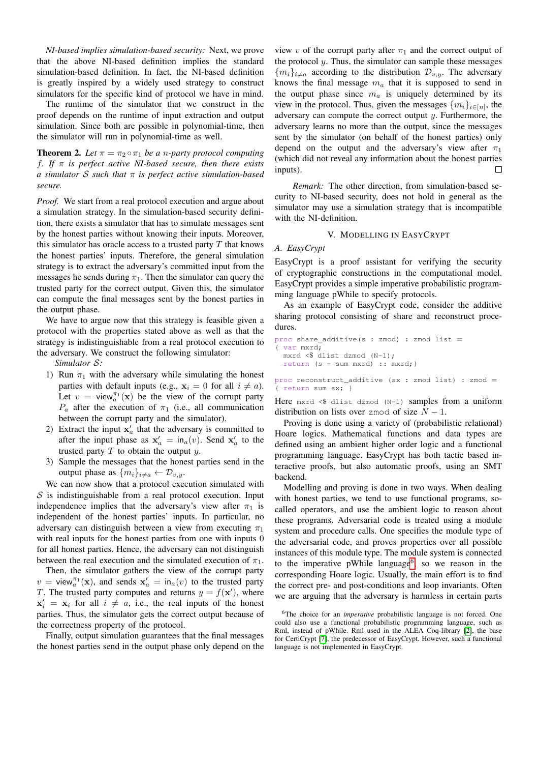*NI-based implies simulation-based security:* Next, we prove that the above NI-based definition implies the standard simulation-based definition. In fact, the NI-based definition is greatly inspired by a widely used strategy to construct simulators for the specific kind of protocol we have in mind.

The runtime of the simulator that we construct in the proof depends on the runtime of input extraction and output simulation. Since both are possible in polynomial-time, then the simulator will run in polynomial-time as well.

**Theorem 2.** Let  $\pi = \pi_2 \circ \pi_1$  be a *n*-party protocol computing f*. If* π *is perfect active NI-based secure, then there exists a simulator* S *such that* π *is perfect active simulation-based secure.*

*Proof.* We start from a real protocol execution and argue about a simulation strategy. In the simulation-based security definition, there exists a simulator that has to simulate messages sent by the honest parties without knowing their inputs. Moreover, this simulator has oracle access to a trusted party  $T$  that knows the honest parties' inputs. Therefore, the general simulation strategy is to extract the adversary's committed input from the messages he sends during  $\pi_1$ . Then the simulator can query the trusted party for the correct output. Given this, the simulator can compute the final messages sent by the honest parties in the output phase.

We have to argue now that this strategy is feasible given a protocol with the properties stated above as well as that the strategy is indistinguishable from a real protocol execution to the adversary. We construct the following simulator:

*Simulator* S*:*

- 1) Run  $\pi_1$  with the adversary while simulating the honest parties with default inputs (e.g.,  $x_i = 0$  for all  $i \neq a$ ). Let  $v = \text{view}_a^{\pi_1}(\mathbf{x})$  be the view of the corrupt party  $P_a$  after the execution of  $\pi_1$  (i.e., all communication between the corrupt party and the simulator).
- 2) Extract the input  $x'_a$  that the adversary is committed to after the input phase as  $x'_a = in_a(v)$ . Send  $x'_a$  to the trusted party  $T$  to obtain the output  $y$ .
- 3) Sample the messages that the honest parties send in the output phase as  $\{m_i\}_{i\neq a} \leftarrow \mathcal{D}_{v,y}$ .

We can now show that a protocol execution simulated with  $S$  is indistinguishable from a real protocol execution. Input independence implies that the adversary's view after  $\pi_1$  is independent of the honest parties' inputs. In particular, no adversary can distinguish between a view from executing  $\pi_1$ with real inputs for the honest parties from one with inputs 0 for all honest parties. Hence, the adversary can not distinguish between the real execution and the simulated execution of  $\pi_1$ .

Then, the simulator gathers the view of the corrupt party  $v = \text{view}_a^{\pi_1}(\mathbf{x})$ , and sends  $\mathbf{x}'_a = \text{in}_a(v)$  to the trusted party T. The trusted party computes and returns  $y = f(\mathbf{x}')$ , where  $x'_i = x_i$  for all  $i \neq a$ , i.e., the real inputs of the honest parties. Thus, the simulator gets the correct output because of the correctness property of the protocol.

Finally, output simulation guarantees that the final messages the honest parties send in the output phase only depend on the

view v of the corrupt party after  $\pi_1$  and the correct output of the protocol  $y$ . Thus, the simulator can sample these messages  ${m_i}_{i \neq a}$  according to the distribution  $\mathcal{D}_{v,y}$ . The adversary knows the final message  $m_a$  that it is supposed to send in the output phase since  $m_a$  is uniquely determined by its view in the protocol. Thus, given the messages  $\{m_i\}_{i \in [n]}$ , the adversary can compute the correct output  $y$ . Furthermore, the adversary learns no more than the output, since the messages sent by the simulator (on behalf of the honest parties) only depend on the output and the adversary's view after  $\pi_1$ (which did not reveal any information about the honest parties inputs).  $\Box$ 

*Remark:* The other direction, from simulation-based security to NI-based security, does not hold in general as the simulator may use a simulation strategy that is incompatible with the NI-definition.

#### V. MODELLING IN EASYCRYPT

#### <span id="page-7-0"></span>*A. EasyCrypt*

EasyCrypt is a proof assistant for verifying the security of cryptographic constructions in the computational model. EasyCrypt provides a simple imperative probabilistic programming language pWhile to specify protocols.

As an example of EasyCrypt code, consider the additive sharing protocol consisting of share and reconstruct procedures.

```
proc share_additive(s : zmod) : zmod list =
{ var mxrd;
 mxrd <$ dlist dzmod (N-1);
  return (s - sum mxrd) :: mxrd;
```
proc reconstruct\_additive (sx : zmod list) : zmod = { return sum sx; }

Here mxrd <\$ dlist dzmod (N-1) samples from a uniform distribution on lists over zmod of size  $N - 1$ .

Proving is done using a variety of (probabilistic relational) Hoare logics. Mathematical functions and data types are defined using an ambient higher order logic and a functional programming language. EasyCrypt has both tactic based interactive proofs, but also automatic proofs, using an SMT backend.

Modelling and proving is done in two ways. When dealing with honest parties, we tend to use functional programs, socalled operators, and use the ambient logic to reason about these programs. Adversarial code is treated using a module system and procedure calls. One specifies the module type of the adversarial code, and proves properties over all possible instances of this module type. The module system is connected to the imperative pWhile language<sup>[6](#page-7-1)</sup>, so we reason in the corresponding Hoare logic. Usually, the main effort is to find the correct pre- and post-conditions and loop invariants. Often we are arguing that the adversary is harmless in certain parts

<span id="page-7-1"></span><sup>6</sup>The choice for an *imperative* probabilistic language is not forced. One could also use a functional probabilistic programming language, such as Rml, instead of pWhile. Rml used in the ALEA Coq-library [\[2\]](#page-12-18), the base for CertiCrypt [\[7\]](#page-12-19), the predecessor of EasyCrypt. However, such a functional language is not implemented in EasyCrypt.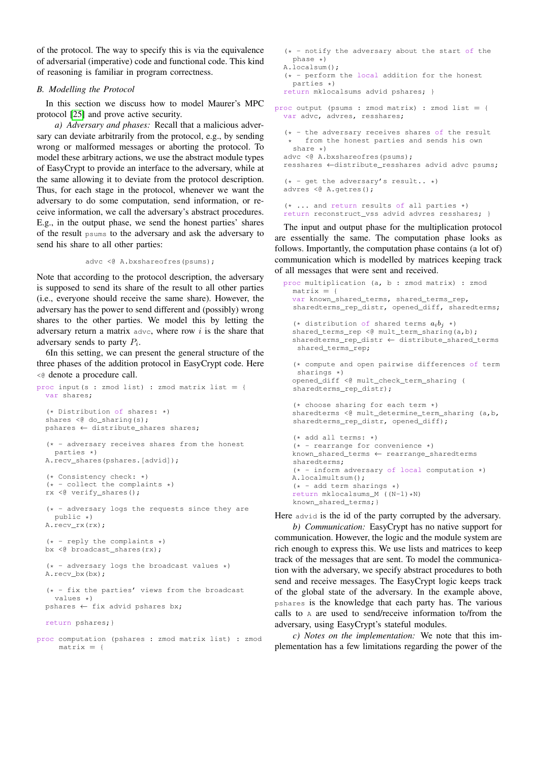of the protocol. The way to specify this is via the equivalence of adversarial (imperative) code and functional code. This kind of reasoning is familiar in program correctness.

#### *B. Modelling the Protocol*

In this section we discuss how to model Maurer's MPC protocol [\[25\]](#page-12-13) and prove active security.

*a) Adversary and phases:* Recall that a malicious adversary can deviate arbitrarily from the protocol, e.g., by sending wrong or malformed messages or aborting the protocol. To model these arbitrary actions, we use the abstract module types of EasyCrypt to provide an interface to the adversary, while at the same allowing it to deviate from the protocol description. Thus, for each stage in the protocol, whenever we want the adversary to do some computation, send information, or receive information, we call the adversary's abstract procedures. E.g., in the output phase, we send the honest parties' shares of the result psums to the adversary and ask the adversary to send his share to all other parties:

```
advc <@ A.bxshareofres(psums);
```
Note that according to the protocol description, the adversary is supposed to send its share of the result to all other parties (i.e., everyone should receive the same share). However, the adversary has the power to send different and (possibly) wrong shares to the other parties. We model this by letting the adversary return a matrix  $\alpha$  adve, where row i is the share that adversary sends to party  $P_i$ .

6In this setting, we can present the general structure of the three phases of the addition protocol in EasyCrypt code. Here <@ denote a procedure call.

```
proc input(s : zmod list) : zmod matrix list = {
  var shares;
  (* Distribution of shares: *)
  shares <@ do_sharing(s);
 pshares ← distribute_shares shares;
  (* - adversary receives shares from the honestparties *)
  A.recv_shares(pshares.[advid]);
  (* Consistency check: *)
  (* - collect the complaints *)rx <@ verify_shares();
  (* - adversary logs the requests since they are
   public \star)
  A.recv_rx(rx);
  (* - reply the complaints *)bx <@ broadcast_shares(rx);
  (* - adversary logs the broadcast values *)
  A.recv_bx(bx);
  (* - fix the parties' views from the broadcastvalues *)
  pshares \leftarrow fix advid pshares bx;
  return pshares;}
proc computation (pshares : zmod matrix list) : zmod
     matrix = {
```

```
(* - notify the adversary about the start of the)phase *)
  A.localsum();
  (* - perform the local addition for the honestparties *)
  return mklocalsums advid pshares; }
proc output (psums : zmod matrix) : zmod list = {
 var advc, advres, resshares;
  (* - the adversary receives shares of the result)from the honest parties and sends his own
    share *)
  advc <@ A.bxshareofres(psums);
  resshares ←distribute_resshares advid advc psums;
  (* - get the adversary's result. (*)advres <@ A.getres();
  (* ... and return results of all parties *)
  return reconstruct_vss advid advres resshares; }
```
The input and output phase for the multiplication protocol are essentially the same. The computation phase looks as follows. Importantly, the computation phase contains (a lot of) communication which is modelled by matrices keeping track of all messages that were sent and received.

```
proc multiplication (a, b : zmod matrix) : zmod
 matrix = {var known_shared_terms, shared_terms_rep,
  sharedterms_rep_distr, opened_diff, sharedterms;
  (* distribution of shared terms a_i b_i *)
 shared_terms_rep <@ mult_term_sharing(a,b);
 sharedterms_rep_distr ← distribute_shared_terms
   shared_terms_rep;
  (* compute and open pairwise differences of term
  sharings *)
 opened_diff <@ mult_check_term_sharing (
  sharedterms_rep_distr);
  (* choose sharing for each term *)sharedterms <@ mult_determine_term_sharing (a,b,
  sharedterms_rep_distr, opened_diff);
  (* add all terms: *)
  (* - rearrange for convenience *)known_shared_terms ← rearrange_sharedterms
 sharedterms;
  (* - inform adversary of local computation *)A.localmultsum();
 (* - add term sharing *)return mklocalsums_M ((N-1)*N)
  known_shared_terms;}
```
Here advid is the id of the party corrupted by the adversary.

*b) Communication:* EasyCrypt has no native support for communication. However, the logic and the module system are rich enough to express this. We use lists and matrices to keep track of the messages that are sent. To model the communication with the adversary, we specify abstract procedures to both send and receive messages. The EasyCrypt logic keeps track of the global state of the adversary. In the example above, pshares is the knowledge that each party has. The various calls to A are used to send/receive information to/from the adversary, using EasyCrypt's stateful modules.

*c) Notes on the implementation:* We note that this implementation has a few limitations regarding the power of the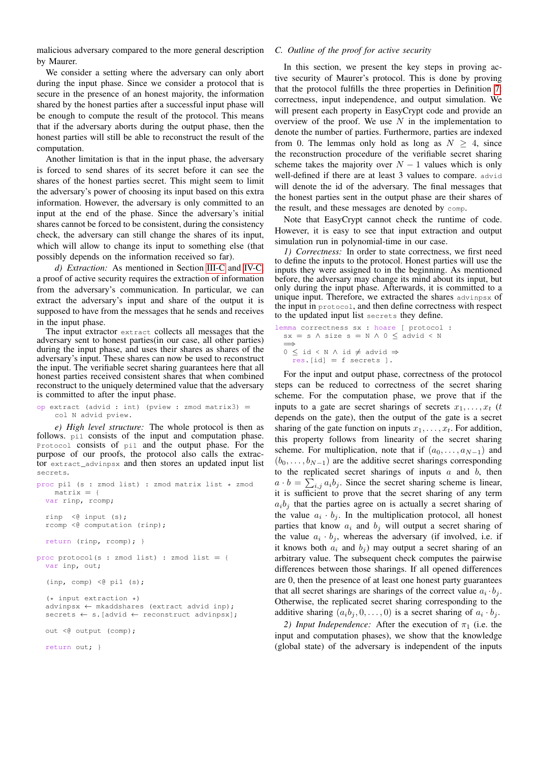malicious adversary compared to the more general description by Maurer.

We consider a setting where the adversary can only abort during the input phase. Since we consider a protocol that is secure in the presence of an honest majority, the information shared by the honest parties after a successful input phase will be enough to compute the result of the protocol. This means that if the adversary aborts during the output phase, then the honest parties will still be able to reconstruct the result of the computation.

Another limitation is that in the input phase, the adversary is forced to send shares of its secret before it can see the shares of the honest parties secret. This might seem to limit the adversary's power of choosing its input based on this extra information. However, the adversary is only committed to an input at the end of the phase. Since the adversary's initial shares cannot be forced to be consistent, during the consistency check, the adversary can still change the shares of its input, which will allow to change its input to something else (that possibly depends on the information received so far).

*d) Extraction:* As mentioned in Section [III-C](#page-4-2) and [IV-C,](#page-6-0) a proof of active security requires the extraction of information from the adversary's communication. In particular, we can extract the adversary's input and share of the output it is supposed to have from the messages that he sends and receives in the input phase.

The input extractor extract collects all messages that the adversary sent to honest parties(in our case, all other parties) during the input phase, and uses their shares as shares of the adversary's input. These shares can now be used to reconstruct the input. The verifiable secret sharing guarantees here that all honest parties received consistent shares that when combined reconstruct to the uniquely determined value that the adversary is committed to after the input phase.

```
op extract (advid : int) (pview : zmod matrix3) =
    col N advid pview.
```
*e) High level structure:* The whole protocol is then as follows. pi1 consists of the input and computation phase. Protocol consists of pi1 and the output phase. For the purpose of our proofs, the protocol also calls the extractor extract\_advinpsx and then stores an updated input list secrets.

```
proc pi1 (s : zmod list) : zmod matrix list * zmod
    matrix = {var rinp, rcomp;
  rinp <@ input (s);
  rcomp <@ computation (rinp);
  return (rinp, rcomp); }
proc protocol(s : zmod list) : zmod list = {
  var inp, out;
  (inp, comp) < @pi1 (s);(* input extraction *)advinpsx ← mkaddshares (extract advid inp);
  secrets ← s. [advid ← reconstruct advinpsx];
  out <@ output (comp);
  return out; }
```
## *C. Outline of the proof for active security*

In this section, we present the key steps in proving active security of Maurer's protocol. This is done by proving that the protocol fulfills the three properties in Definition [7:](#page-6-1) correctness, input independence, and output simulation. We will present each property in EasyCrypt code and provide an overview of the proof. We use  $N$  in the implementation to denote the number of parties. Furthermore, parties are indexed from 0. The lemmas only hold as long as  $N \geq 4$ , since the reconstruction procedure of the verifiable secret sharing scheme takes the majority over  $N - 1$  values which is only well-defined if there are at least 3 values to compare. advid will denote the id of the adversary. The final messages that the honest parties sent in the output phase are their shares of the result, and these messages are denoted by comp.

Note that EasyCrypt cannot check the runtime of code. However, it is easy to see that input extraction and output simulation run in polynomial-time in our case.

*1) Correctness:* In order to state correctness, we first need to define the inputs to the protocol. Honest parties will use the inputs they were assigned to in the beginning. As mentioned before, the adversary may change its mind about its input, but only during the input phase. Afterwards, it is committed to a unique input. Therefore, we extracted the shares advinpsx of the input in protocol, and then define correctness with respect to the updated input list secrets they define.

```
lemma correctness sx : hoare [ protocol :
  sx = s \land size s = N \land 0 \leq addid \leq N=⇒
  0 \leq id \leq N \wedge id \neq addid \Rightarrowres.[id] = f secrets ].
```
For the input and output phase, correctness of the protocol steps can be reduced to correctness of the secret sharing scheme. For the computation phase, we prove that if the inputs to a gate are secret sharings of secrets  $x_1, \ldots, x_t$  (*t* depends on the gate), then the output of the gate is a secret sharing of the gate function on inputs  $x_1, \ldots, x_t$ . For addition, this property follows from linearity of the secret sharing scheme. For multiplication, note that if  $(a_0, \ldots, a_{N-1})$  and  $(b_0, \ldots, b_{N-1})$  are the additive secret sharings corresponding to the replicated secret sharings of inputs  $a$  and  $b$ , then  $a \cdot b = \sum_{i,j} a_i b_j$ . Since the secret sharing scheme is linear, it is sufficient to prove that the secret sharing of any term  $a_i b_j$  that the parties agree on is actually a secret sharing of the value  $a_i \cdot b_j$ . In the multiplication protocol, all honest parties that know  $a_i$  and  $b_j$  will output a secret sharing of the value  $a_i \cdot b_j$ , whereas the adversary (if involved, i.e. if it knows both  $a_i$  and  $b_j$ ) may output a secret sharing of an arbitrary value. The subsequent check computes the pairwise differences between those sharings. If all opened differences are 0, then the presence of at least one honest party guarantees that all secret sharings are sharings of the correct value  $a_i \cdot b_j$ . Otherwise, the replicated secret sharing corresponding to the additive sharing  $(a_i b_j, 0, \ldots, 0)$  is a secret sharing of  $a_i \cdot b_j$ .

*2) Input Independence:* After the execution of  $\pi_1$  (i.e. the input and computation phases), we show that the knowledge (global state) of the adversary is independent of the inputs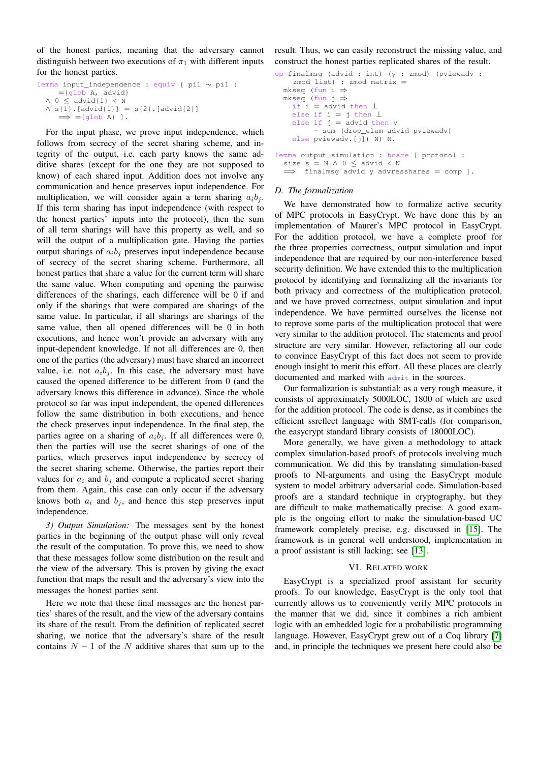of the honest parties, meaning that the adversary cannot distinguish between two executions of  $\pi_1$  with different inputs for the honest parties.

```
lemma input_independence : equiv [ pi1 ∼ pi1 :
     ={glob A, advid}
  \land 0 \leq advid{1} < N
  \land s{1}.[advid{1}] = s{2}.[advid{2}]
     \Rightarrow ={glob A} ].
```
For the input phase, we prove input independence, which follows from secrecy of the secret sharing scheme, and integrity of the output, i.e. each party knows the same additive shares (except for the one they are not supposed to know) of each shared input. Addition does not involve any communication and hence preserves input independence. For multiplication, we will consider again a term sharing  $a_i b_j$ . If this term sharing has input independence (with respect to the honest parties' inputs into the protocol), then the sum of all term sharings will have this property as well, and so will the output of a multiplication gate. Having the parties output sharings of  $a_i b_j$  preserves input independence because of secrecy of the secret sharing scheme. Furthermore, all honest parties that share a value for the current term will share the same value. When computing and opening the pairwise differences of the sharings, each difference will be 0 if and only if the sharings that were compared are sharings of the same value. In particular, if all sharings are sharings of the same value, then all opened differences will be 0 in both executions, and hence won't provide an adversary with any input-dependent knowledge. If not all differences are 0, then one of the parties (the adversary) must have shared an incorrect value, i.e. not  $a_i b_j$ . In this case, the adversary must have caused the opened difference to be different from 0 (and the adversary knows this difference in advance). Since the whole protocol so far was input independent, the opened differences follow the same distribution in both executions, and hence the check preserves input independence. In the final step, the parties agree on a sharing of  $a_i b_j$ . If all differences were 0, then the parties will use the secret sharings of one of the parties, which preserves input independence by secrecy of the secret sharing scheme. Otherwise, the parties report their values for  $a_i$  and  $b_j$  and compute a replicated secret sharing from them. Again, this case can only occur if the adversary knows both  $a_i$  and  $b_i$ , and hence this step preserves input independence.

*3) Output Simulation:* The messages sent by the honest parties in the beginning of the output phase will only reveal the result of the computation. To prove this, we need to show that these messages follow some distribution on the result and the view of the adversary. This is proven by giving the exact function that maps the result and the adversary's view into the messages the honest parties sent.

Here we note that these final messages are the honest parties' shares of the result, and the view of the adversary contains its share of the result. From the definition of replicated secret sharing, we notice that the adversary's share of the result contains  $N - 1$  of the N additive shares that sum up to the result. Thus, we can easily reconstruct the missing value, and construct the honest parties replicated shares of the result.

```
op finalmsg (advid : int) (y : zmod) (pviewadv :
    zmod list) : zmod matrix =
  mkseq (fun i ⇒
  mkseq (fun j ⇒
    if i = advid then ⊥
    else if i = j then ⊥
    else if j = advid then y- sum (drop_elem advid pviewadv)
    else pviewadv.[j]) N) N.
lemma output_simulation : hoare [ protocol :
  size s = N \wedge 0 < advid \langle N \rangle\Rightarrow finalmsg advid y advresshares = comp ].
```
#### <span id="page-10-0"></span>*D. The formalization*

We have demonstrated how to formalize active security of MPC protocols in EasyCrypt. We have done this by an implementation of Maurer's MPC protocol in EasyCrypt. For the addition protocol, we have a complete proof for the three properties correctness, output simulation and input independence that are required by our non-interference based security definition. We have extended this to the multiplication protocol by identifying and formalizing all the invariants for both privacy and correctness of the multiplication protocol, and we have proved correctness, output simulation and input independence. We have permitted ourselves the license not to reprove some parts of the multiplication protocol that were very similar to the addition protocol. The statements and proof structure are very similar. However, refactoring all our code to convince EasyCrypt of this fact does not seem to provide enough insight to merit this effort. All these places are clearly documented and marked with admit in the sources.

Our formalization is substantial: as a very rough measure, it consists of approximately 5000LOC, 1800 of which are used for the addition protocol. The code is dense, as it combines the efficient ssreflect language with SMT-calls (for comparison, the easycrypt standard library consists of 18000LOC).

More generally, we have given a methodology to attack complex simulation-based proofs of protocols involving much communication. We did this by translating simulation-based proofs to NI-arguments and using the EasyCrypt module system to model arbitrary adversarial code. Simulation-based proofs are a standard technique in cryptography, but they are difficult to make mathematically precise. A good example is the ongoing effort to make the simulation-based UC framework completely precise, e.g. discussed in [\[15\]](#page-12-20). The framework is in general well understood, implementation in a proof assistant is still lacking; see [\[13\]](#page-12-21).

# VI. RELATED WORK

<span id="page-10-1"></span>EasyCrypt is a specialized proof assistant for security proofs. To our knowledge, EasyCrypt is the only tool that currently allows us to conveniently verify MPC protocols in the manner that we did, since it combines a rich ambient logic with an embedded logic for a probabilistic programming language. However, EasyCrypt grew out of a Coq library [\[7\]](#page-12-19) and, in principle the techniques we present here could also be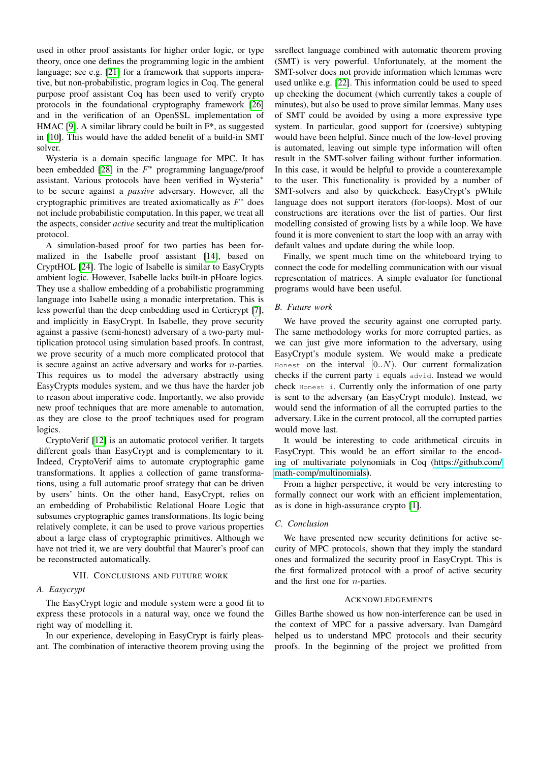used in other proof assistants for higher order logic, or type theory, once one defines the programming logic in the ambient language; see e.g. [\[21\]](#page-12-22) for a framework that supports imperative, but non-probabilistic, program logics in Coq. The general purpose proof assistant Coq has been used to verify crypto protocols in the foundational cryptography framework [\[26\]](#page-12-23) and in the verification of an OpenSSL implementation of HMAC [\[9\]](#page-12-24). A similar library could be built in F\*, as suggested in [\[10\]](#page-12-25). This would have the added benefit of a build-in SMT solver.

Wysteria is a domain specific language for MPC. It has been embedded [\[28\]](#page-12-26) in the  $F^*$  programming language/proof assistant. Various protocols have been verified in Wysteria<sup>∗</sup> to be secure against a *passive* adversary. However, all the cryptographic primitives are treated axiomatically as  $F^*$  does not include probabilistic computation. In this paper, we treat all the aspects, consider *active* security and treat the multiplication protocol.

A simulation-based proof for two parties has been formalized in the Isabelle proof assistant [\[14\]](#page-12-27), based on CryptHOL [\[24\]](#page-12-28). The logic of Isabelle is similar to EasyCrypts ambient logic. However, Isabelle lacks built-in pHoare logics. They use a shallow embedding of a probabilistic programming language into Isabelle using a monadic interpretation. This is less powerful than the deep embedding used in Certicrypt [\[7\]](#page-12-19), and implicitly in EasyCrypt. In Isabelle, they prove security against a passive (semi-honest) adversary of a two-party multiplication protocol using simulation based proofs. In contrast, we prove security of a much more complicated protocol that is secure against an active adversary and works for  $n$ -parties. This requires us to model the adversary abstractly using EasyCrypts modules system, and we thus have the harder job to reason about imperative code. Importantly, we also provide new proof techniques that are more amenable to automation, as they are close to the proof techniques used for program logics.

CryptoVerif [\[12\]](#page-12-29) is an automatic protocol verifier. It targets different goals than EasyCrypt and is complementary to it. Indeed, CryptoVerif aims to automate cryptographic game transformations. It applies a collection of game transformations, using a full automatic proof strategy that can be driven by users' hints. On the other hand, EasyCrypt, relies on an embedding of Probabilistic Relational Hoare Logic that subsumes cryptographic games transformations. Its logic being relatively complete, it can be used to prove various properties about a large class of cryptographic primitives. Although we have not tried it, we are very doubtful that Maurer's proof can be reconstructed automatically.

#### VII. CONCLUSIONS AND FUTURE WORK

# <span id="page-11-0"></span>*A. Easycrypt*

The EasyCrypt logic and module system were a good fit to express these protocols in a natural way, once we found the right way of modelling it.

In our experience, developing in EasyCrypt is fairly pleasant. The combination of interactive theorem proving using the

ssreflect language combined with automatic theorem proving (SMT) is very powerful. Unfortunately, at the moment the SMT-solver does not provide information which lemmas were used unlike e.g. [\[22\]](#page-12-30). This information could be used to speed up checking the document (which currently takes a couple of minutes), but also be used to prove similar lemmas. Many uses of SMT could be avoided by using a more expressive type system. In particular, good support for (coersive) subtyping would have been helpful. Since much of the low-level proving is automated, leaving out simple type information will often result in the SMT-solver failing without further information. In this case, it would be helpful to provide a counterexample to the user. This functionality is provided by a number of SMT-solvers and also by quickcheck. EasyCrypt's pWhile language does not support iterators (for-loops). Most of our constructions are iterations over the list of parties. Our first modelling consisted of growing lists by a while loop. We have found it is more convenient to start the loop with an array with default values and update during the while loop.

Finally, we spent much time on the whiteboard trying to connect the code for modelling communication with our visual representation of matrices. A simple evaluator for functional programs would have been useful.

#### *B. Future work*

We have proved the security against one corrupted party. The same methodology works for more corrupted parties, as we can just give more information to the adversary, using EasyCrypt's module system. We would make a predicate Honest on the interval  $[0..N)$ . Our current formalization checks if the current party i equals advid. Instead we would check Honest i. Currently only the information of one party is sent to the adversary (an EasyCrypt module). Instead, we would send the information of all the corrupted parties to the adversary. Like in the current protocol, all the corrupted parties would move last.

It would be interesting to code arithmetical circuits in EasyCrypt. This would be an effort similar to the encoding of multivariate polynomials in Coq [\(https://github.com/](https://github.com/math-comp/multinomials) [math-comp/multinomials\)](https://github.com/math-comp/multinomials).

From a higher perspective, it would be very interesting to formally connect our work with an efficient implementation, as is done in high-assurance crypto [\[1\]](#page-12-8).

#### *C. Conclusion*

We have presented new security definitions for active security of MPC protocols, shown that they imply the standard ones and formalized the security proof in EasyCrypt. This is the first formalized protocol with a proof of active security and the first one for n-parties.

#### ACKNOWLEDGEMENTS

Gilles Barthe showed us how non-interference can be used in the context of MPC for a passive adversary. Ivan Damgård helped us to understand MPC protocols and their security proofs. In the beginning of the project we profitted from